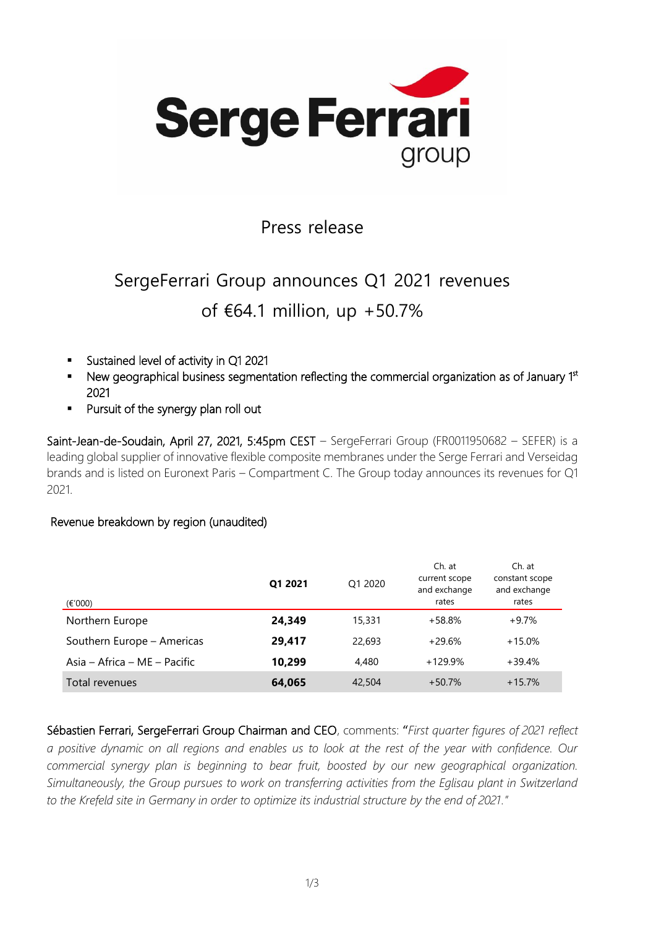

### Press release

# SergeFerrari Group announces Q1 2021 revenues of €64.1 million, up +50.7%

- Sustained level of activity in Q1 2021
- New geographical business segmentation reflecting the commercial organization as of January 1st 2021
- Pursuit of the synergy plan roll out

Saint-Jean-de-Soudain, April 27, 2021, 5:45pm CEST – SergeFerrari Group (FR0011950682 – SEFER) is a leading global supplier of innovative flexible composite membranes under the Serge Ferrari and Verseidag brands and is listed on Euronext Paris – Compartment C. The Group today announces its revenues for Q1 2021.

### Revenue breakdown by region (unaudited)

| (€'000)                      | Q1 2021 | O1 2020 | Ch. at<br>current scope<br>and exchange<br>rates | Ch. at<br>constant scope<br>and exchange<br>rates |
|------------------------------|---------|---------|--------------------------------------------------|---------------------------------------------------|
| Northern Europe              | 24,349  | 15,331  | $+58.8%$                                         | $+9.7%$                                           |
| Southern Europe - Americas   | 29,417  | 22,693  | $+29.6%$                                         | $+15.0%$                                          |
| Asia – Africa – ME – Pacific | 10,299  | 4,480   | $+129.9%$                                        | +39.4%                                            |
| Total revenues               | 64,065  | 42,504  | $+50.7%$                                         | $+15.7%$                                          |

Sébastien Ferrari, SergeFerrari Group Chairman and CEO, comments: "*First quarter figures of 2021 reflect a positive dynamic on all regions and enables us to look at the rest of the year with confidence. Our commercial synergy plan is beginning to bear fruit, boosted by our new geographical organization. Simultaneously, the Group pursues to work on transferring activities from the Eglisau plant in Switzerland to the Krefeld site in Germany in order to optimize its industrial structure by the end of 2021."*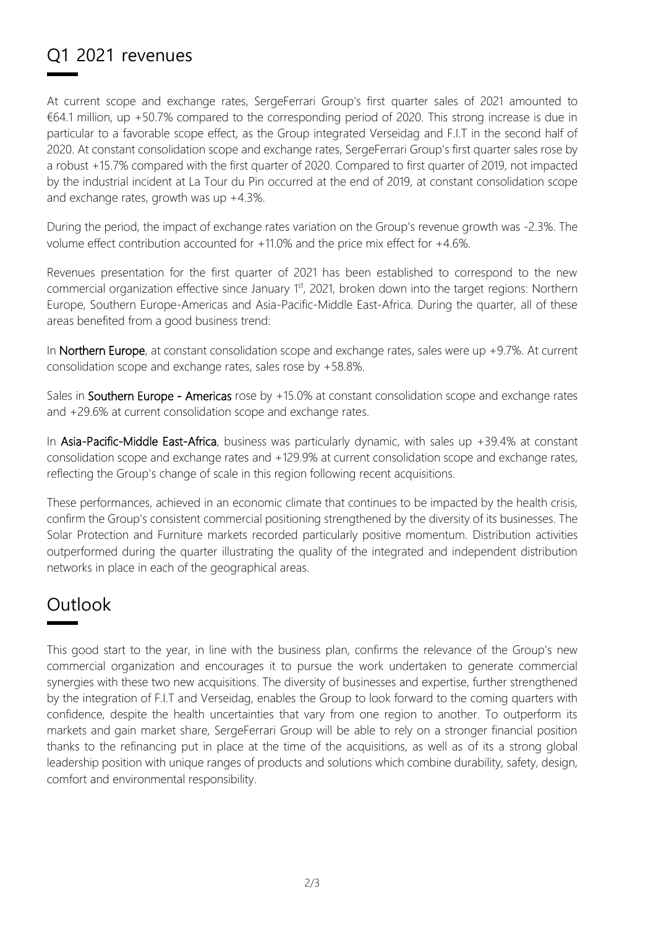## Q1 2021 revenues

At current scope and exchange rates, SergeFerrari Group's first quarter sales of 2021 amounted to €64.1 million, up +50.7% compared to the corresponding period of 2020. This strong increase is due in particular to a favorable scope effect, as the Group integrated Verseidag and F.I.T in the second half of 2020. At constant consolidation scope and exchange rates, SergeFerrari Group's first quarter sales rose by a robust +15.7% compared with the first quarter of 2020. Compared to first quarter of 2019, not impacted by the industrial incident at La Tour du Pin occurred at the end of 2019, at constant consolidation scope and exchange rates, growth was up +4.3%.

During the period, the impact of exchange rates variation on the Group's revenue growth was -2.3%. The volume effect contribution accounted for +11.0% and the price mix effect for +4.6%.

Revenues presentation for the first quarter of 2021 has been established to correspond to the new commercial organization effective since January 1<sup>st</sup>, 2021, broken down into the target regions: Northern Europe, Southern Europe-Americas and Asia-Pacific-Middle East-Africa. During the quarter, all of these areas benefited from a good business trend:

In Northern Europe, at constant consolidation scope and exchange rates, sales were up +9.7%. At current consolidation scope and exchange rates, sales rose by +58.8%.

Sales in Southern Europe - Americas rose by +15.0% at constant consolidation scope and exchange rates and +29.6% at current consolidation scope and exchange rates.

In Asia-Pacific-Middle East-Africa, business was particularly dynamic, with sales up +39.4% at constant consolidation scope and exchange rates and +129.9% at current consolidation scope and exchange rates, reflecting the Group's change of scale in this region following recent acquisitions.

These performances, achieved in an economic climate that continues to be impacted by the health crisis, confirm the Group's consistent commercial positioning strengthened by the diversity of its businesses. The Solar Protection and Furniture markets recorded particularly positive momentum. Distribution activities outperformed during the quarter illustrating the quality of the integrated and independent distribution networks in place in each of the geographical areas.

### **Outlook**

This good start to the year, in line with the business plan, confirms the relevance of the Group's new commercial organization and encourages it to pursue the work undertaken to generate commercial synergies with these two new acquisitions. The diversity of businesses and expertise, further strengthened by the integration of F.I.T and Verseidag, enables the Group to look forward to the coming quarters with confidence, despite the health uncertainties that vary from one region to another. To outperform its markets and gain market share, SergeFerrari Group will be able to rely on a stronger financial position thanks to the refinancing put in place at the time of the acquisitions, as well as of its a strong global leadership position with unique ranges of products and solutions which combine durability, safety, design, comfort and environmental responsibility.